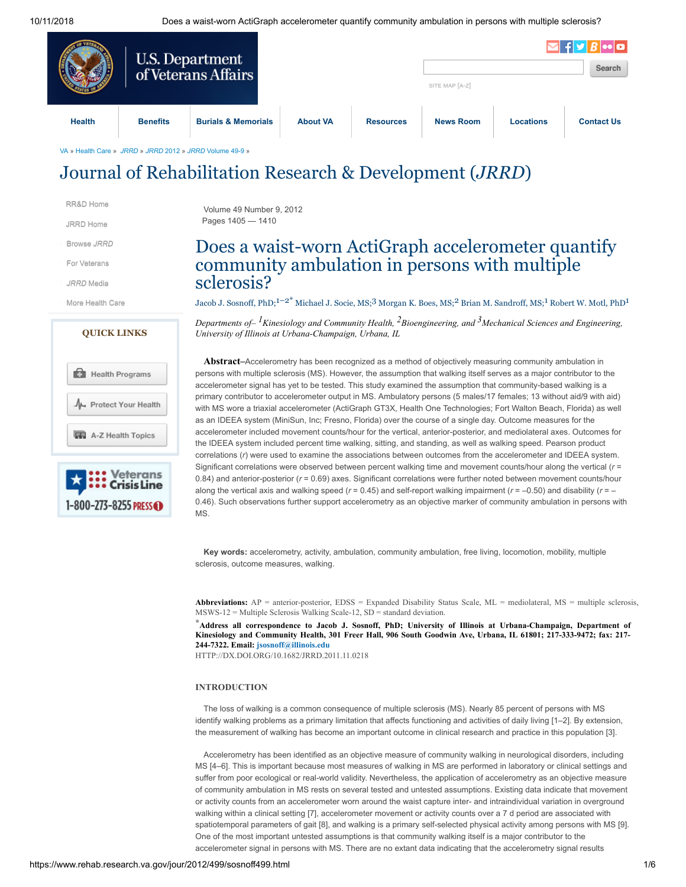| U.S. Department<br>of Veterans Affairs |                 |                                | $\blacksquare$ f $\blacksquare$ $R$ to $\blacksquare$<br>Search |                  |                  |                  |                   |
|----------------------------------------|-----------------|--------------------------------|-----------------------------------------------------------------|------------------|------------------|------------------|-------------------|
|                                        |                 |                                |                                                                 |                  | SITE MAP [A-Z]   |                  |                   |
| <b>Health</b>                          | <b>Benefits</b> | <b>Burials &amp; Memorials</b> | <b>About VA</b>                                                 | <b>Resources</b> | <b>News Room</b> | <b>Locations</b> | <b>Contact Us</b> |

[VA](http://www.va.gov/) » [Health](http://www.va.gov/health) Care » *[JRRD](https://www.rehab.research.va.gov/jrrd/index.html)* » *[JRRD](https://www.rehab.research.va.gov/jour/10/2010-19.html#2012)* 2012 » *JRRD* [Volume](https://www.rehab.research.va.gov/jour/2012/499/contents499.html) 49-9 »

# Journal of Rehabilitation Research & Development (*JRRD*)

[RR&D Home](https://www.rehab.research.va.gov/default.html)

[JRRD Home](https://www.rehab.research.va.gov/jrrd/index.html)

Browse *JRRD*

For Veterans

*JRRD* Media

More Health Care

## **QUICK LINKS**





Volume 49 Number 9, 2012 Pages 1405 — 1410

# Does a waist-worn ActiGraph accelerometer quantify community ambulation in persons with multiple sclerosis?

Jacob J. Sosnoff, PhD; $^{1-2^*}$  Michael J. Socie, MS; $^3$  Morgan K. Boes, MS; $^2$  Brian M. Sandroff, MS; $^1$  Robert W. Motl, PhD $^1$ 

*Departments of– 1Kinesiology and Community Health, 2Bioengineering, and 3Mechanical Sciences and Engineering, University of Illinois at Urbana-Champaign, Urbana, IL*

**Abstract–**Accelerometry has been recognized as a method of objectively measuring community ambulation in persons with multiple sclerosis (MS). However, the assumption that walking itself serves as a major contributor to the accelerometer signal has yet to be tested. This study examined the assumption that community-based walking is a primary contributor to accelerometer output in MS. Ambulatory persons (5 males/17 females; 13 without aid/9 with aid) with MS wore a triaxial accelerometer (ActiGraph GT3X, Health One Technologies; Fort Walton Beach, Florida) as well as an IDEEA system (MiniSun, Inc; Fresno, Florida) over the course of a single day. Outcome measures for the accelerometer included movement counts/hour for the vertical, anterior-posterior, and mediolateral axes. Outcomes for the IDEEA system included percent time walking, sitting, and standing, as well as walking speed. Pearson product correlations (*r*) were used to examine the associations between outcomes from the accelerometer and IDEEA system. Significant correlations were observed between percent walking time and movement counts/hour along the vertical (*r* = 0.84) and anterior-posterior ( $r = 0.69$ ) axes. Significant correlations were further noted between movement counts/hour along the vertical axis and walking speed (*r* = 0.45) and self-report walking impairment (*r* = –0.50) and disability (*r* = – 0.46). Such observations further support accelerometry as an objective marker of community ambulation in persons with MS.

**Key words:** accelerometry, activity, ambulation, community ambulation, free living, locomotion, mobility, multiple sclerosis, outcome measures, walking.

**Abbreviations:** AP = anterior-posterior, EDSS = Expanded Disability Status Scale, ML = mediolateral, MS = multiple sclerosis, MSWS-12 = Multiple Sclerosis Walking Scale-12, SD = standard deviation.

**\*Address all correspondence to Jacob J. Sosnoff, PhD; University of Illinois at Urbana-Champaign, Department of** Kinesiology and Community Health, 301 Freer Hall, 906 South Goodwin Ave, Urbana, IL 61801; 217-333-9472; fax: 217-**244-7322. Email: [jsosnoff@illinois.edu](mailto:jsosnoff@illinois.edu)**

HTTP://DX.DOI.ORG/10.1682/JRRD.2011.11.0218

# **INTRODUCTION**

The loss of walking is a common consequence of multiple sclerosis (MS). Nearly 85 percent of persons with MS identify walking problems as a primary limitation that affects functioning and activities of daily living [1–2]. By extension, the measurement of walking has become an important outcome in clinical research and practice in this population [3].

Accelerometry has been identified as an objective measure of community walking in neurological disorders, including MS [4–6]. This is important because most measures of walking in MS are performed in laboratory or clinical settings and suffer from poor ecological or real-world validity. Nevertheless, the application of accelerometry as an objective measure of community ambulation in MS rests on several tested and untested assumptions. Existing data indicate that movement or activity counts from an accelerometer worn around the waist capture inter- and intraindividual variation in overground walking within a clinical setting [7], accelerometer movement or activity counts over a 7 d period are associated with spatiotemporal parameters of gait [8], and walking is a primary self-selected physical activity among persons with MS [9]. One of the most important untested assumptions is that community walking itself is a major contributor to the accelerometer signal in persons with MS. There are no extant data indicating that the accelerometry signal results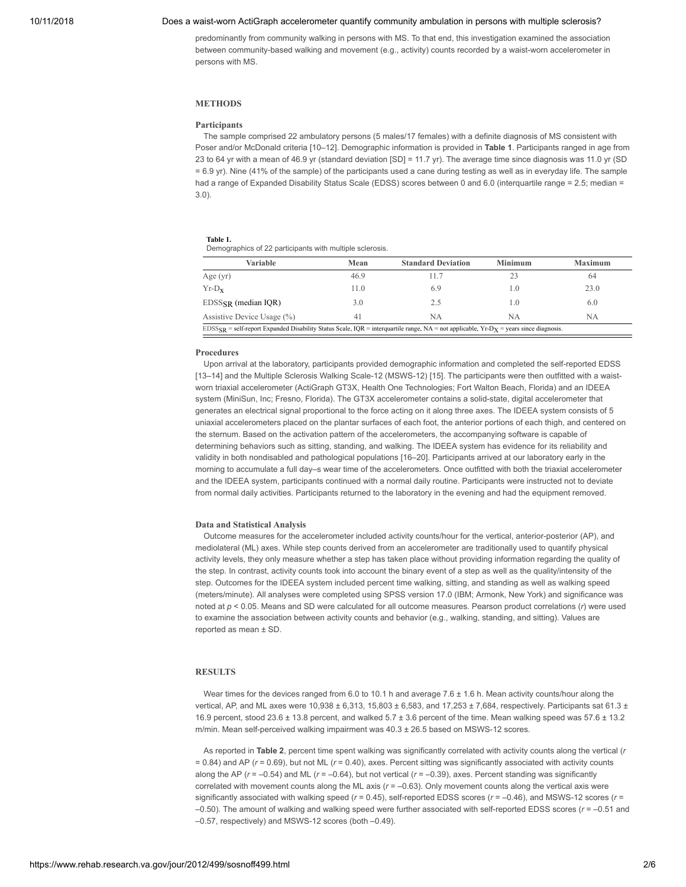predominantly from community walking in persons with MS. To that end, this investigation examined the association between community-based walking and movement (e.g., activity) counts recorded by a waist-worn accelerometer in persons with MS.

#### **METHODS**

#### **Participants**

The sample comprised 22 ambulatory persons (5 males/17 females) with a definite diagnosis of MS consistent with Poser and/or McDonald criteria [10–12]. Demographic information is provided in **Table 1**. Participants ranged in age from 23 to 64 yr with a mean of 46.9 yr (standard deviation [SD] = 11.7 yr). The average time since diagnosis was 11.0 yr (SD = 6.9 yr). Nine (41% of the sample) of the participants used a cane during testing as well as in everyday life. The sample had a range of Expanded Disability Status Scale (EDSS) scores between 0 and 6.0 (interquartile range = 2.5; median = 3.0).

#### **Table 1.**

Demographics of 22 participants with multiple sclerosis.

| Variable                     | Mean | <b>Standard Deviation</b> | <b>Minimum</b> | <b>Maximum</b> |
|------------------------------|------|---------------------------|----------------|----------------|
| Age $(yr)$                   | 46.9 | 11.7                      | 23             | 64             |
| $Yr-D_{\mathbf{v}}$          | 11.0 | 6.9                       | $\pm 0$        | 23.0           |
| $EDSS_{\rm SR}$ (median IQR) | 3.0  | 2.5                       | L O            | 6.0            |
| Assistive Device Usage (%)   | 41   | NΑ                        | NА             | NA             |

#### **Procedures**

Upon arrival at the laboratory, participants provided demographic information and completed the self-reported EDSS [13–14] and the Multiple Sclerosis Walking Scale-12 (MSWS-12) [15]. The participants were then outfitted with a waistworn triaxial accelerometer (ActiGraph GT3X, Health One Technologies; Fort Walton Beach, Florida) and an IDEEA system (MiniSun, Inc; Fresno, Florida). The GT3X accelerometer contains a solid-state, digital accelerometer that generates an electrical signal proportional to the force acting on it along three axes. The IDEEA system consists of 5 uniaxial accelerometers placed on the plantar surfaces of each foot, the anterior portions of each thigh, and centered on the sternum. Based on the activation pattern of the accelerometers, the accompanying software is capable of determining behaviors such as sitting, standing, and walking. The IDEEA system has evidence for its reliability and validity in both nondisabled and pathological populations [16–20]. Participants arrived at our laboratory early in the morning to accumulate a full day–s wear time of the accelerometers. Once outfitted with both the triaxial accelerometer and the IDEEA system, participants continued with a normal daily routine. Participants were instructed not to deviate from normal daily activities. Participants returned to the laboratory in the evening and had the equipment removed.

#### **Data and Statistical Analysis**

Outcome measures for the accelerometer included activity counts/hour for the vertical, anterior-posterior (AP), and mediolateral (ML) axes. While step counts derived from an accelerometer are traditionally used to quantify physical activity levels, they only measure whether a step has taken place without providing information regarding the quality of the step. In contrast, activity counts took into account the binary event of a step as well as the quality/intensity of the step. Outcomes for the IDEEA system included percent time walking, sitting, and standing as well as walking speed (meters/minute). All analyses were completed using SPSS version 17.0 (IBM; Armonk, New York) and significance was noted at *p* < 0.05. Means and SD were calculated for all outcome measures. Pearson product correlations (*r*) were used to examine the association between activity counts and behavior (e.g., walking, standing, and sitting). Values are reported as mean ± SD.

### **RESULTS**

Wear times for the devices ranged from 6.0 to 10.1 h and average 7.6  $\pm$  1.6 h. Mean activity counts/hour along the vertical, AP, and ML axes were  $10,938 \pm 6,313, 15,803 \pm 6,583$ , and  $17,253 \pm 7,684$ , respectively. Participants sat 61.3  $\pm$ 16.9 percent, stood  $23.6 \pm 13.8$  percent, and walked  $5.7 \pm 3.6$  percent of the time. Mean walking speed was  $57.6 \pm 13.2$ m/min. Mean self-perceived walking impairment was 40.3 ± 26.5 based on MSWS-12 scores.

As reported in **Table 2**, percent time spent walking was significantly correlated with activity counts along the vertical (*r* = 0.84) and AP (*r* = 0.69), but not ML (*r* = 0.40), axes. Percent sitting was significantly associated with activity counts along the AP ( $r = -0.54$ ) and ML ( $r = -0.64$ ), but not vertical ( $r = -0.39$ ), axes. Percent standing was significantly correlated with movement counts along the ML axis ( $r = -0.63$ ). Only movement counts along the vertical axis were significantly associated with walking speed  $(r = 0.45)$ , self-reported EDSS scores  $(r = -0.46)$ , and MSWS-12 scores  $(r =$ –0.50). The amount of walking and walking speed were further associated with self-reported EDSS scores (*r* = –0.51 and –0.57, respectively) and MSWS-12 scores (both –0.49).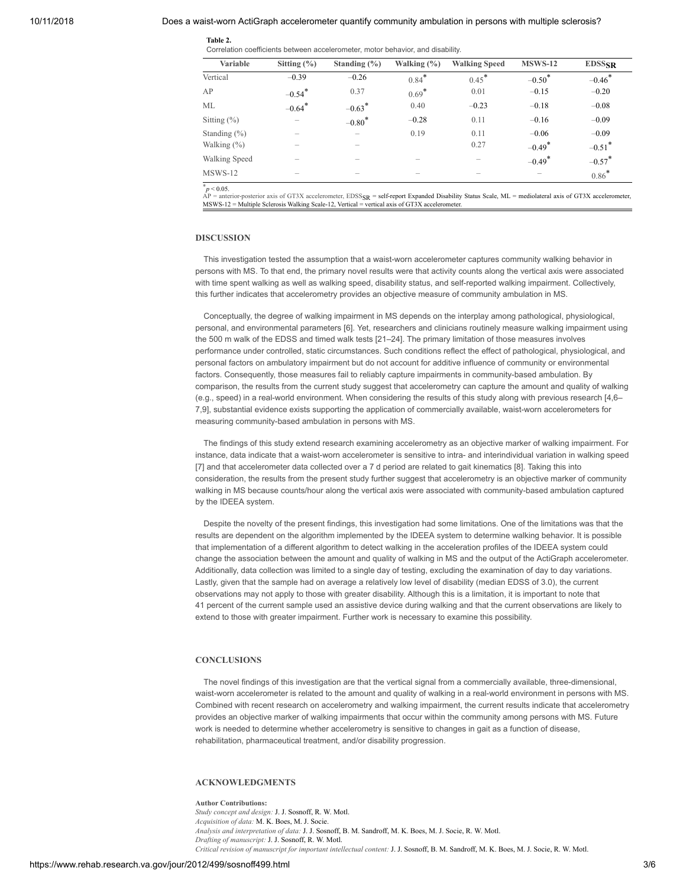**Table 2.**

| Variable         | Sitting $(\% )$      | Standing $(\% )$     | Walking $(\% )$     | <b>Walking Speed</b> | <b>MSWS-12</b>       | <b>EDSSSR</b>        |
|------------------|----------------------|----------------------|---------------------|----------------------|----------------------|----------------------|
| Vertical         | $-0.39$              | $-0.26$              | $0.84$ <sup>*</sup> | $0.45*$              | $-0.50$ <sup>*</sup> | $-0.46$ <sup>*</sup> |
| AP               | $-0.54$ <sup>*</sup> | 0.37                 | $0.69*$             | 0.01                 | $-0.15$              | $-0.20$              |
| ML               | $-0.64$ <sup>*</sup> | $-0.63$ <sup>*</sup> | 0.40                | $-0.23$              | $-0.18$              | $-0.08$              |
| Sitting $(\%)$   |                      | $-0.80$ <sup>*</sup> | $-0.28$             | 0.11                 | $-0.16$              | $-0.09$              |
| Standing $(\% )$ |                      |                      | 0.19                | 0.11                 | $-0.06$              | $-0.09$              |
| Walking $(\%)$   |                      |                      |                     | 0.27                 | $-0.49$ <sup>*</sup> | $-0.51$ <sup>*</sup> |
| Walking Speed    |                      |                      |                     |                      | $-0.49$ <sup>*</sup> | $-0.57$ <sup>*</sup> |
| MSWS-12          |                      |                      |                     |                      |                      | $0.86*$              |

*p* < 0.05.<br>AP = anterior-posterior axis of GT3X accelerometer, EDSS<sub>SR</sub> = self-report Expanded Disability Status Scale, ML = mediolateral axis of GT3X accelerometer,  $MSWS-12 =$  Multiple Sclerosis Walking Scale-12, Vertical = vertical axis of GT3X accelerometer.

#### **DISCUSSION**

This investigation tested the assumption that a waist-worn accelerometer captures community walking behavior in persons with MS. To that end, the primary novel results were that activity counts along the vertical axis were associated with time spent walking as well as walking speed, disability status, and self-reported walking impairment. Collectively, this further indicates that accelerometry provides an objective measure of community ambulation in MS.

Conceptually, the degree of walking impairment in MS depends on the interplay among pathological, physiological, personal, and environmental parameters [6]. Yet, researchers and clinicians routinely measure walking impairment using the 500 m walk of the EDSS and timed walk tests [21–24]. The primary limitation of those measures involves performance under controlled, static circumstances. Such conditions reflect the effect of pathological, physiological, and personal factors on ambulatory impairment but do not account for additive influence of community or environmental factors. Consequently, those measures fail to reliably capture impairments in community-based ambulation. By comparison, the results from the current study suggest that accelerometry can capture the amount and quality of walking (e.g., speed) in a real-world environment. When considering the results of this study along with previous research [4,6– 7,9], substantial evidence exists supporting the application of commercially available, waist-worn accelerometers for measuring community-based ambulation in persons with MS.

The findings of this study extend research examining accelerometry as an objective marker of walking impairment. For instance, data indicate that a waist-worn accelerometer is sensitive to intra- and interindividual variation in walking speed [7] and that accelerometer data collected over a 7 d period are related to gait kinematics [8]. Taking this into consideration, the results from the present study further suggest that accelerometry is an objective marker of community walking in MS because counts/hour along the vertical axis were associated with community-based ambulation captured by the IDEEA system.

Despite the novelty of the present findings, this investigation had some limitations. One of the limitations was that the results are dependent on the algorithm implemented by the IDEEA system to determine walking behavior. It is possible that implementation of a different algorithm to detect walking in the acceleration profiles of the IDEEA system could change the association between the amount and quality of walking in MS and the output of the ActiGraph accelerometer. Additionally, data collection was limited to a single day of testing, excluding the examination of day to day variations. Lastly, given that the sample had on average a relatively low level of disability (median EDSS of 3.0), the current observations may not apply to those with greater disability. Although this is a limitation, it is important to note that 41 percent of the current sample used an assistive device during walking and that the current observations are likely to extend to those with greater impairment. Further work is necessary to examine this possibility.

### **CONCLUSIONS**

The novel findings of this investigation are that the vertical signal from a commercially available, three-dimensional, waist-worn accelerometer is related to the amount and quality of walking in a real-world environment in persons with MS. Combined with recent research on accelerometry and walking impairment, the current results indicate that accelerometry provides an objective marker of walking impairments that occur within the community among persons with MS. Future work is needed to determine whether accelerometry is sensitive to changes in gait as a function of disease, rehabilitation, pharmaceutical treatment, and/or disability progression.

#### **ACKNOWLEDGMENTS**

**Author Contributions:** *Study concept and design:* J. J. Sosnoff, R. W. Motl. *Acquisition of data:* M. K. Boes, M. J. Socie. *Analysis and interpretation of data:* J. J. Sosnoff, B. M. Sandroff, M. K. Boes, M. J. Socie, R. W. Motl. *Drafting of manuscript:* J. J. Sosnoff, R. W. Motl. *Critical revision of manuscript for important intellectual content:* J. J. Sosnoff, B. M. Sandroff, M. K. Boes, M. J. Socie, R. W. Motl.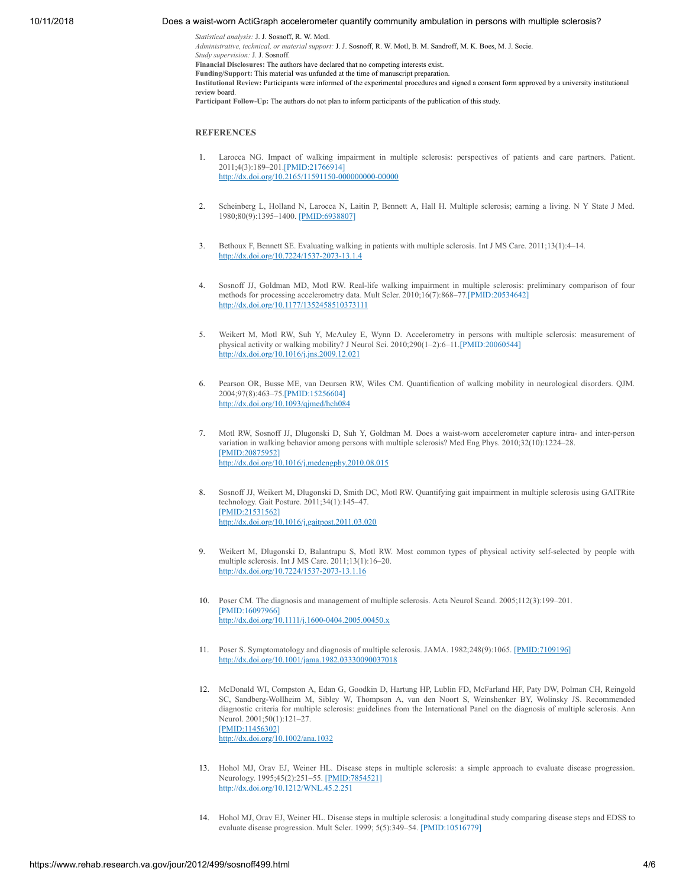*Statistical analysis:* J. J. Sosnoff, R. W. Motl. *Administrative, technical, or material support:* J. J. Sosnoff, R. W. Motl, B. M. Sandroff, M. K. Boes, M. J. Socie. *Study supervision:* J. J. Sosnoff. **Financial Disclosures:** The authors have declared that no competing interests exist. **Funding/Support:** This material was unfunded at the time of manuscript preparation. **Institutional Review:** Participants were informed of the experimental procedures and signed a consent form approved by a university institutional review board.

**Participant Follow-Up:** The authors do not plan to inform participants of the publication of this study.

#### **REFERENCES**

- 1. Larocca NG. Impact of walking impairment in multiple sclerosis: perspectives of patients and care partners. Patient. 2011;4(3):189–201[.\[PMID:21766914\]](http://www.ncbi.nlm.nih.gov/entrez/query.fcgi?cmd=Retrieve&db=PubMed&list_uids=21766914&dopt=Abstract) <http://dx.doi.org/10.2165/11591150-000000000-00000>
- 2. Scheinberg L, Holland N, Larocca N, Laitin P, Bennett A, Hall H. Multiple sclerosis; earning a living. N Y State J Med. 1980;80(9):1395–1400. [\[PMID:6938807\]](http://www.ncbi.nlm.nih.gov/entrez/query.fcgi?cmd=Retrieve&db=PubMed&list_uids=6938807&dopt=Abstract)
- 3. Bethoux F, Bennett SE. Evaluating walking in patients with multiple sclerosis. Int J MS Care. 2011;13(1):4–14. <http://dx.doi.org/10.7224/1537-2073-13.1.4>
- 4. Sosnoff JJ, Goldman MD, Motl RW. Real-life walking impairment in multiple sclerosis: preliminary comparison of four methods for processing accelerometry data. Mult Scler. 2010;16(7):868–77.[\[PMID:20534642\]](http://www.ncbi.nlm.nih.gov/entrez/query.fcgi?cmd=Retrieve&db=PubMed&list_uids=20534642&dopt=Abstract) <http://dx.doi.org/10.1177/1352458510373111>
- 5. Weikert M, Motl RW, Suh Y, McAuley E, Wynn D. Accelerometry in persons with multiple sclerosis: measurement of physical activity or walking mobility? J Neurol Sci. 2010;290(1–2):6–11.[\[PMID:20060544\]](http://www.ncbi.nlm.nih.gov/entrez/query.fcgi?cmd=Retrieve&db=PubMed&list_uids=20060544&dopt=Abstract) <http://dx.doi.org/10.1016/j.jns.2009.12.021>
- 6. Pearson OR, Busse ME, van Deursen RW, Wiles CM. Quantification of walking mobility in neurological disorders. QJM. 2004;97(8):463–75.[\[PMID:15256604\]](http://www.ncbi.nlm.nih.gov/entrez/query.fcgi?cmd=Retrieve&db=PubMed&list_uids=15256604&dopt=Abstract) <http://dx.doi.org/10.1093/qjmed/hch084>
- 7. Motl RW, Sosnoff JJ, Dlugonski D, Suh Y, Goldman M. Does a waist-worn accelerometer capture intra- and inter-person variation in walking behavior among persons with multiple sclerosis? Med Eng Phys. 2010;32(10):1224–28. [\[PMID:20875952\]](http://www.ncbi.nlm.nih.gov/pubmed/20875952) <http://dx.doi.org/10.1016/j.medengphy.2010.08.015>
- 8. Sosnoff JJ, Weikert M, Dlugonski D, Smith DC, Motl RW. Quantifying gait impairment in multiple sclerosis using GAITRite technology. Gait Posture. 2011;34(1):145–47. [\[PMID:21531562\]](http://www.ncbi.nlm.nih.gov/pubmed/21531562) <http://dx.doi.org/10.1016/j.gaitpost.2011.03.020>
- 9. Weikert M, Dlugonski D, Balantrapu S, Motl RW. Most common types of physical activity self-selected by people with multiple sclerosis. Int J MS Care. 2011;13(1):16–20. <http://dx.doi.org/10.7224/1537-2073-13.1.16>
- 10. Poser CM. The diagnosis and management of multiple sclerosis. Acta Neurol Scand. 2005;112(3):199–201. [\[PMID:16097966\]](http://www.ncbi.nlm.nih.gov/pubmed/16097966) <http://dx.doi.org/10.1111/j.1600-0404.2005.00450.x>
- 11. Poser S. Symptomatology and diagnosis of multiple sclerosis. JAMA. 1982;248(9):1065. [\[PMID:7109196\]](http://www.ncbi.nlm.nih.gov/pubmed/7109196) <http://dx.doi.org/10.1001/jama.1982.03330090037018>
- 12. McDonald WI, Compston A, Edan G, Goodkin D, Hartung HP, Lublin FD, McFarland HF, Paty DW, Polman CH, Reingold SC, Sandberg-Wollheim M, Sibley W, Thompson A, van den Noort S, Weinshenker BY, Wolinsky JS. Recommended diagnostic criteria for multiple sclerosis: guidelines from the International Panel on the diagnosis of multiple sclerosis. Ann Neurol. 2001;50(1):121–27. [\[PMID:11456302\]](http://www.ncbi.nlm.nih.gov/pubmed/11456302) <http://dx.doi.org/10.1002/ana.1032>
- 13. Hohol MJ, Orav EJ, Weiner HL. Disease steps in multiple sclerosis: a simple approach to evaluate disease progression. Neurology. 1995;45(2):251–55. [\[PMID:7854521\]](http://www.ncbi.nlm.nih.gov/entrez/query.fcgi?cmd=Retrieve&db=PubMed&list_uids=7854521&dopt=Abstract) <http://dx.doi.org/10.1212/WNL.45.2.251>
- 14. Hohol MJ, Orav EJ, Weiner HL. Disease steps in multiple sclerosis: a longitudinal study comparing disease steps and EDSS to evaluate disease progression. Mult Scler. 1999; 5(5):349–54. [\[PMID:10516779\]](http://www.ncbi.nlm.nih.gov/entrez/query.fcgi?cmd=Retrieve&db=PubMed&list_uids=10516779&dopt=Abstract)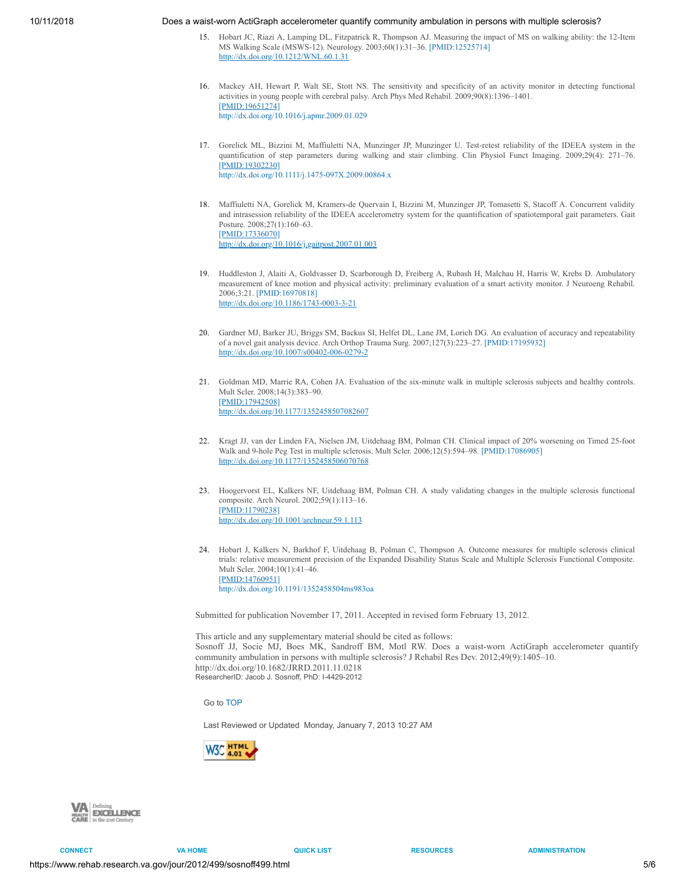- 15. Hobart JC, Riazi A, Lamping DL, Fitzpatrick R, Thompson AJ. Measuring the impact of MS on walking ability: the 12-Item MS Walking Scale (MSWS-12). Neurology. 2003;60(1):31–36. [\[PMID:12525714\]](http://www.ncbi.nlm.nih.gov/entrez/query.fcgi?cmd=Retrieve&db=PubMed&list_uids=12525714&dopt=Abstract) <http://dx.doi.org/10.1212/WNL.60.1.31>
- 16. Mackey AH, Hewart P, Walt SE, Stott NS. The sensitivity and specificity of an activity monitor in detecting functional activities in young people with cerebral palsy. Arch Phys Med Rehabil. 2009;90(8):1396–1401. [\[PMID:19651274\]](http://www.ncbi.nlm.nih.gov/entrez/query.fcgi?cmd=Retrieve&db=PubMed&list_uids=19651274&dopt=Abstract) <http://dx.doi.org/10.1016/j.apmr.2009.01.029>
- 17. Gorelick ML, Bizzini M, Maffiuletti NA, Munzinger JP, Munzinger U. Test-retest reliability of the IDEEA system in the quantification of step parameters during walking and stair climbing. Clin Physiol Funct Imaging. 2009;29(4): 271–76. [\[PMID:19302230\]](http://www.ncbi.nlm.nih.gov/entrez/query.fcgi?cmd=Retrieve&db=PubMed&list_uids=19302230&dopt=Abstract) <http://dx.doi.org/10.1111/j.1475-097X.2009.00864.x>
- 18. Maffiuletti NA, Gorelick M, Kramers-de Quervain I, Bizzini M, Munzinger JP, Tomasetti S, Stacoff A. Concurrent validity and intrasession reliability of the IDEEA accelerometry system for the quantification of spatiotemporal gait parameters. Gait Posture. 2008;27(1):160–63. [\[PMID:17336070\]](http://www.ncbi.nlm.nih.gov/pubmed/17336070) <http://dx.doi.org/10.1016/j.gaitpost.2007.01.003>
- 19. Huddleston J, Alaiti A, Goldvasser D, Scarborough D, Freiberg A, Rubash H, Malchau H, Harris W, Krebs D. Ambulatory measurement of knee motion and physical activity: preliminary evaluation of a smart activity monitor. J Neuroeng Rehabil. 2006;3:21. [\[PMID:16970818\]](http://www.ncbi.nlm.nih.gov/entrez/query.fcgi?cmd=Retrieve&db=PubMed&list_uids=16970818&dopt=Abstract) <http://dx.doi.org/10.1186/1743-0003-3-21>
- 20. Gardner MJ, Barker JU, Briggs SM, Backus SI, Helfet DL, Lane JM, Lorich DG. An evaluation of accuracy and repeatability of a novel gait analysis device. Arch Orthop Trauma Surg. 2007;127(3):223–27. [\[PMID:17195932\]](http://www.ncbi.nlm.nih.gov/entrez/query.fcgi?cmd=Retrieve&db=PubMed&list_uids=17195932&dopt=Abstract) <http://dx.doi.org/10.1007/s00402-006-0279-2>
- 21. Goldman MD, Marrie RA, Cohen JA. Evaluation of the six-minute walk in multiple sclerosis subjects and healthy controls. Mult Scler. 2008;14(3):383–90. [\[PMID:17942508\]](http://www.ncbi.nlm.nih.gov/pubmed/17942508) <http://dx.doi.org/10.1177/1352458507082607>
- 22. Kragt JJ, van der Linden FA, Nielsen JM, Uitdehaag BM, Polman CH. Clinical impact of 20% worsening on Timed 25-foot Walk and 9-hole Peg Test in multiple sclerosis. Mult Scler. 2006;12(5):594–98. [\[PMID:17086905\]](http://www.ncbi.nlm.nih.gov/entrez/query.fcgi?cmd=Retrieve&db=PubMed&list_uids=17086905&dopt=Abstract) <http://dx.doi.org/10.1177/1352458506070768>
- 23. Hoogervorst EL, Kalkers NF, Uitdehaag BM, Polman CH. A study validating changes in the multiple sclerosis functional composite. Arch Neurol. 2002;59(1):113–16. [\[PMID:11790238\]](http://www.ncbi.nlm.nih.gov/pubmed/11790238) <http://dx.doi.org/10.1001/archneur.59.1.113>
- 24. Hobart J, Kalkers N, Barkhof F, Uitdehaag B, Polman C, Thompson A. Outcome measures for multiple sclerosis clinical trials: relative measurement precision of the Expanded Disability Status Scale and Multiple Sclerosis Functional Composite. Mult Scler. 2004;10(1):41–46. [\[PMID:14760951\]](http://www.ncbi.nlm.nih.gov/entrez/query.fcgi?cmd=Retrieve&db=PubMed&list_uids=14760951&dopt=Abstract) <http://dx.doi.org/10.1191/1352458504ms983oa>

Submitted for publication November 17, 2011. Accepted in revised form February 13, 2012.

This article and any supplementary material should be cited as follows: Sosnoff JJ, Socie MJ, Boes MK, Sandroff BM, Motl RW. Does a waist-worn ActiGraph accelerometer quantify community ambulation in persons with multiple sclerosis? J Rehabil Res Dev. 2012;49(9):1405–10. http://dx.doi.org/10.1682/JRRD.2011.11.0218 ResearcherID: Jacob J. Sosnoff, PhD: I-4429-2012

Go to TOP

Last Reviewed or Updated Monday, January 7, 2013 10:27 AM